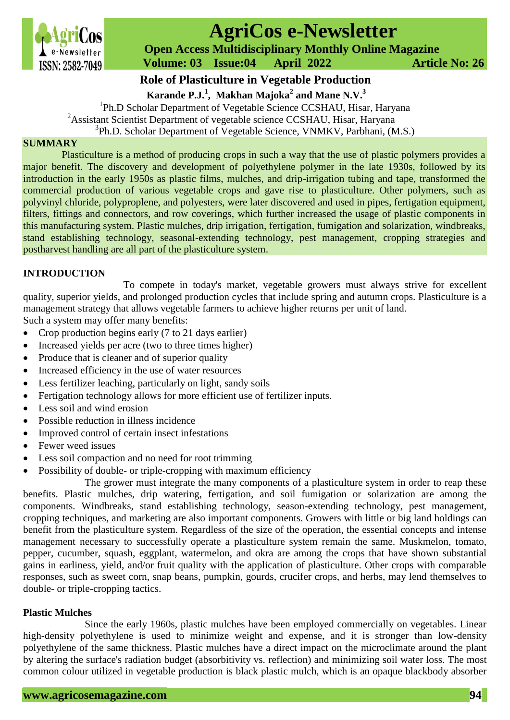

# **AgriCos e-Newsletter**

 **Open Access Multidisciplinary Monthly Online Magazine**

 **Volume: 03 Issue:04 April 2022 Article No: 26**

# **Role of Plasticulture in Vegetable Production**

**Karande P.J.<sup>1</sup> , Makhan Majoka<sup>2</sup> and Mane N.V.<sup>3</sup>**

<sup>1</sup>Ph.D Scholar Department of Vegetable Science CCSHAU, Hisar, Haryana <sup>2</sup>Assistant Scientist Department of vegetable science CCSHAU, Hisar, Haryana <sup>3</sup>Ph.D. Scholar Department of Vegetable Science, VNMKV, Parbhani, (M.S.)

# **SUMMARY**

Plasticulture is a method of producing crops in such a way that the use of plastic polymers provides a major benefit. The discovery and development of polyethylene polymer in the late 1930s, followed by its introduction in the early 1950s as plastic films, mulches, and drip-irrigation tubing and tape, transformed the commercial production of various vegetable crops and gave rise to plasticulture. Other polymers, such as polyvinyl chloride, polyproplene, and polyesters, were later discovered and used in pipes, fertigation equipment, filters, fittings and connectors, and row coverings, which further increased the usage of plastic components in this manufacturing system. Plastic mulches, drip irrigation, fertigation, fumigation and solarization, windbreaks, stand establishing technology, seasonal-extending technology, pest management, cropping strategies and postharvest handling are all part of the plasticulture system.

# **INTRODUCTION**

To compete in today's market, vegetable growers must always strive for excellent quality, superior yields, and prolonged production cycles that include spring and autumn crops. Plasticulture is a management strategy that allows vegetable farmers to achieve higher returns per unit of land.

Such a system may offer many benefits:

- Crop production begins early (7 to 21 days earlier)
- Increased yields per acre (two to three times higher)
- Produce that is cleaner and of superior quality
- Increased efficiency in the use of water resources
- Less fertilizer leaching, particularly on light, sandy soils
- Fertigation technology allows for more efficient use of fertilizer inputs.
- Less soil and wind erosion
- Possible reduction in illness incidence
- Improved control of certain insect infestations
- Fewer weed issues
- Less soil compaction and no need for root trimming
- Possibility of double- or triple-cropping with maximum efficiency

The grower must integrate the many components of a plasticulture system in order to reap these benefits. Plastic mulches, drip watering, fertigation, and soil fumigation or solarization are among the components. Windbreaks, stand establishing technology, season-extending technology, pest management, cropping techniques, and marketing are also important components. Growers with little or big land holdings can benefit from the plasticulture system. Regardless of the size of the operation, the essential concepts and intense management necessary to successfully operate a plasticulture system remain the same. Muskmelon, tomato, pepper, cucumber, squash, eggplant, watermelon, and okra are among the crops that have shown substantial gains in earliness, yield, and/or fruit quality with the application of plasticulture. Other crops with comparable responses, such as sweet corn, snap beans, pumpkin, gourds, crucifer crops, and herbs, may lend themselves to double- or triple-cropping tactics.

# **Plastic Mulches**

Since the early 1960s, plastic mulches have been employed commercially on vegetables. Linear high-density polyethylene is used to minimize weight and expense, and it is stronger than low-density polyethylene of the same thickness. Plastic mulches have a direct impact on the microclimate around the plant by altering the surface's radiation budget (absorbitivity vs. reflection) and minimizing soil water loss. The most common colour utilized in vegetable production is black plastic mulch, which is an opaque blackbody absorber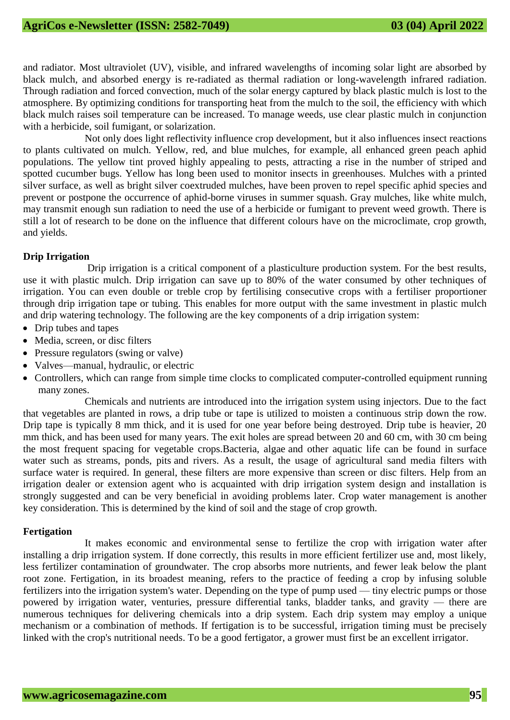and radiator. Most ultraviolet (UV), visible, and infrared wavelengths of incoming solar light are absorbed by black mulch, and absorbed energy is re-radiated as thermal radiation or long-wavelength infrared radiation. Through radiation and forced convection, much of the solar energy captured by black plastic mulch is lost to the atmosphere. By optimizing conditions for transporting heat from the mulch to the soil, the efficiency with which black mulch raises soil temperature can be increased. To manage weeds, use clear plastic mulch in conjunction with a herbicide, soil fumigant, or solarization.

Not only does light reflectivity influence crop development, but it also influences insect reactions to plants cultivated on mulch. Yellow, red, and blue mulches, for example, all enhanced green peach aphid populations. The yellow tint proved highly appealing to pests, attracting a rise in the number of striped and spotted cucumber bugs. Yellow has long been used to monitor insects in greenhouses. Mulches with a printed silver surface, as well as bright silver coextruded mulches, have been proven to repel specific aphid species and prevent or postpone the occurrence of aphid-borne viruses in summer squash. Gray mulches, like white mulch, may transmit enough sun radiation to need the use of a herbicide or fumigant to prevent weed growth. There is still a lot of research to be done on the influence that different colours have on the microclimate, crop growth, and yields.

### **Drip Irrigation**

Drip irrigation is a critical component of a plasticulture production system. For the best results, use it with plastic mulch. Drip irrigation can save up to 80% of the water consumed by other techniques of irrigation. You can even double or treble crop by fertilising consecutive crops with a fertiliser proportioner through drip irrigation tape or tubing. This enables for more output with the same investment in plastic mulch and drip watering technology. The following are the key components of a drip irrigation system:

- Drip tubes and tapes
- Media, screen, or disc filters
- Pressure regulators (swing or valve)
- Valves—manual, hydraulic, or electric
- Controllers, which can range from simple time clocks to complicated computer-controlled equipment running many zones.

Chemicals and nutrients are introduced into the irrigation system using injectors. Due to the fact that vegetables are planted in rows, a drip tube or tape is utilized to moisten a continuous strip down the row. Drip tape is typically 8 mm thick, and it is used for one year before being destroyed. Drip tube is heavier, 20 mm thick, and has been used for many years. The exit holes are spread between 20 and 60 cm, with 30 cm being the most frequent spacing for vegetable crops.Bacteria, algae and other aquatic life can be found in surface water such as streams, ponds, pits and rivers. As a result, the usage of agricultural sand media filters with surface water is required. In general, these filters are more expensive than screen or disc filters. Help from an irrigation dealer or extension agent who is acquainted with drip irrigation system design and installation is strongly suggested and can be very beneficial in avoiding problems later. Crop water management is another key consideration. This is determined by the kind of soil and the stage of crop growth.

# **Fertigation**

It makes economic and environmental sense to fertilize the crop with irrigation water after installing a drip irrigation system. If done correctly, this results in more efficient fertilizer use and, most likely, less fertilizer contamination of groundwater. The crop absorbs more nutrients, and fewer leak below the plant root zone. Fertigation, in its broadest meaning, refers to the practice of feeding a crop by infusing soluble fertilizers into the irrigation system's water. Depending on the type of pump used — tiny electric pumps or those powered by irrigation water, venturies, pressure differential tanks, bladder tanks, and gravity — there are numerous techniques for delivering chemicals into a drip system. Each drip system may employ a unique mechanism or a combination of methods. If fertigation is to be successful, irrigation timing must be precisely linked with the crop's nutritional needs. To be a good fertigator, a grower must first be an excellent irrigator.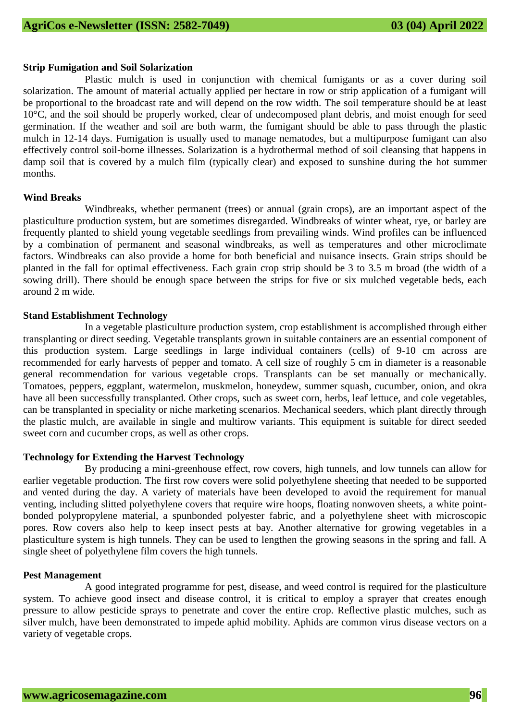#### **Strip Fumigation and Soil Solarization**

Plastic mulch is used in conjunction with chemical fumigants or as a cover during soil solarization. The amount of material actually applied per hectare in row or strip application of a fumigant will be proportional to the broadcast rate and will depend on the row width. The soil temperature should be at least 10°C, and the soil should be properly worked, clear of undecomposed plant debris, and moist enough for seed germination. If the weather and soil are both warm, the fumigant should be able to pass through the plastic mulch in 12-14 days. Fumigation is usually used to manage nematodes, but a multipurpose fumigant can also effectively control soil-borne illnesses. Solarization is a hydrothermal method of soil cleansing that happens in damp soil that is covered by a mulch film (typically clear) and exposed to sunshine during the hot summer months.

#### **Wind Breaks**

Windbreaks, whether permanent (trees) or annual (grain crops), are an important aspect of the plasticulture production system, but are sometimes disregarded. Windbreaks of winter wheat, rye, or barley are frequently planted to shield young vegetable seedlings from prevailing winds. Wind profiles can be influenced by a combination of permanent and seasonal windbreaks, as well as temperatures and other microclimate factors. Windbreaks can also provide a home for both beneficial and nuisance insects. Grain strips should be planted in the fall for optimal effectiveness. Each grain crop strip should be 3 to 3.5 m broad (the width of a sowing drill). There should be enough space between the strips for five or six mulched vegetable beds, each around 2 m wide.

#### **Stand Establishment Technology**

In a vegetable plasticulture production system, crop establishment is accomplished through either transplanting or direct seeding. Vegetable transplants grown in suitable containers are an essential component of this production system. Large seedlings in large individual containers (cells) of 9-10 cm across are recommended for early harvests of pepper and tomato. A cell size of roughly 5 cm in diameter is a reasonable general recommendation for various vegetable crops. Transplants can be set manually or mechanically. Tomatoes, peppers, eggplant, watermelon, muskmelon, honeydew, summer squash, cucumber, onion, and okra have all been successfully transplanted. Other crops, such as sweet corn, herbs, leaf lettuce, and cole vegetables, can be transplanted in speciality or niche marketing scenarios. Mechanical seeders, which plant directly through the plastic mulch, are available in single and multirow variants. This equipment is suitable for direct seeded sweet corn and cucumber crops, as well as other crops.

#### **Technology for Extending the Harvest Technology**

By producing a mini-greenhouse effect, row covers, high tunnels, and low tunnels can allow for earlier vegetable production. The first row covers were solid polyethylene sheeting that needed to be supported and vented during the day. A variety of materials have been developed to avoid the requirement for manual venting, including slitted polyethylene covers that require wire hoops, floating nonwoven sheets, a white pointbonded polypropylene material, a spunbonded polyester fabric, and a polyethylene sheet with microscopic pores. Row covers also help to keep insect pests at bay. Another alternative for growing vegetables in a plasticulture system is high tunnels. They can be used to lengthen the growing seasons in the spring and fall. A single sheet of polyethylene film covers the high tunnels.

#### **Pest Management**

A good integrated programme for pest, disease, and weed control is required for the plasticulture system. To achieve good insect and disease control, it is critical to employ a sprayer that creates enough pressure to allow pesticide sprays to penetrate and cover the entire crop. Reflective plastic mulches, such as silver mulch, have been demonstrated to impede aphid mobility. Aphids are common virus disease vectors on a variety of vegetable crops.